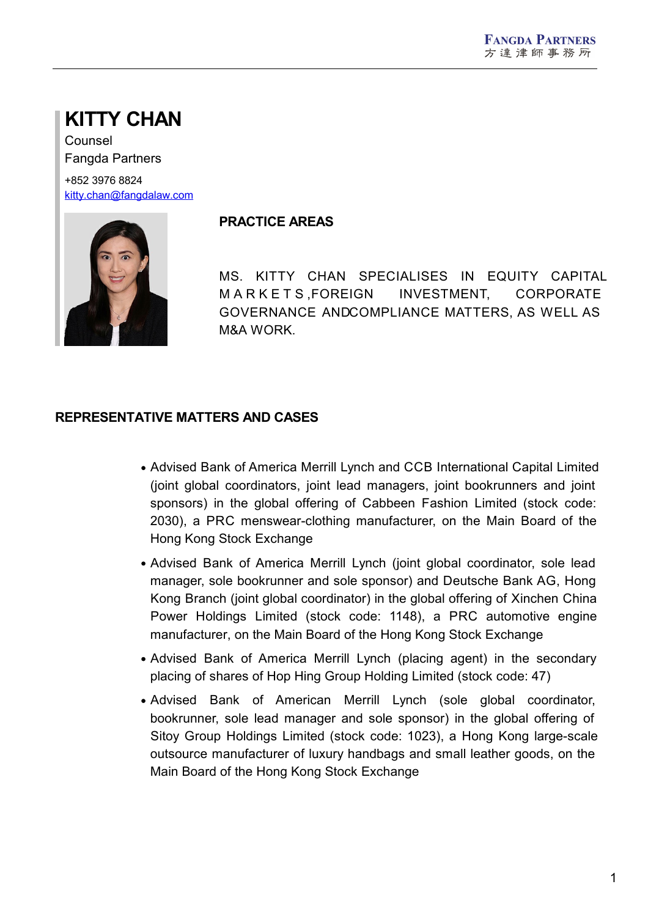# **KITTY CHAN**

Counsel Fangda Partners

+852 3976 8824 [kitty.chan@fangdalaw.com](mailto:kitty.chan@fangdalaw.com)



#### **PRACTICE AREAS**

MS. KITTY CHAN SPECIALISES IN EQUITY CAPITAL M AR K E T S ,FOREIGN INVESTMENT, CORPORATE GOVERNANCE ANDCOMPLIANCE MATTERS, AS WELL AS M&A WORK.

## **REPRESENTATIVE MATTERS AND CASES**

- Advised Bank of America Merrill Lynch and CCB International Capital Limited (joint global coordinators, joint lead managers, joint bookrunners and joint sponsors) in the global offering of Cabbeen Fashion Limited (stock code: 2030), a PRC menswear-clothing manufacturer, on the Main Board of the Hong Kong Stock Exchange
- Advised Bank of America Merrill Lynch (joint global coordinator, sole lead manager, sole bookrunner and sole sponsor) and Deutsche Bank AG, Hong Kong Branch (joint global coordinator) in the global offering of Xinchen China Power Holdings Limited (stock code: 1148), a PRC automotive engine manufacturer, on the Main Board of the Hong Kong Stock Exchange
- Advised Bank of America Merrill Lynch (placing agent) in the secondary placing of shares of Hop Hing Group Holding Limited (stock code: 47)
- Advised Bank of American Merrill Lynch (sole global coordinator, bookrunner, sole lead manager and sole sponsor) in the global offering of Sitoy Group Holdings Limited (stock code: 1023), a Hong Kong large-scale outsource manufacturer of luxury handbags and small leather goods, on the Main Board of the Hong Kong Stock Exchange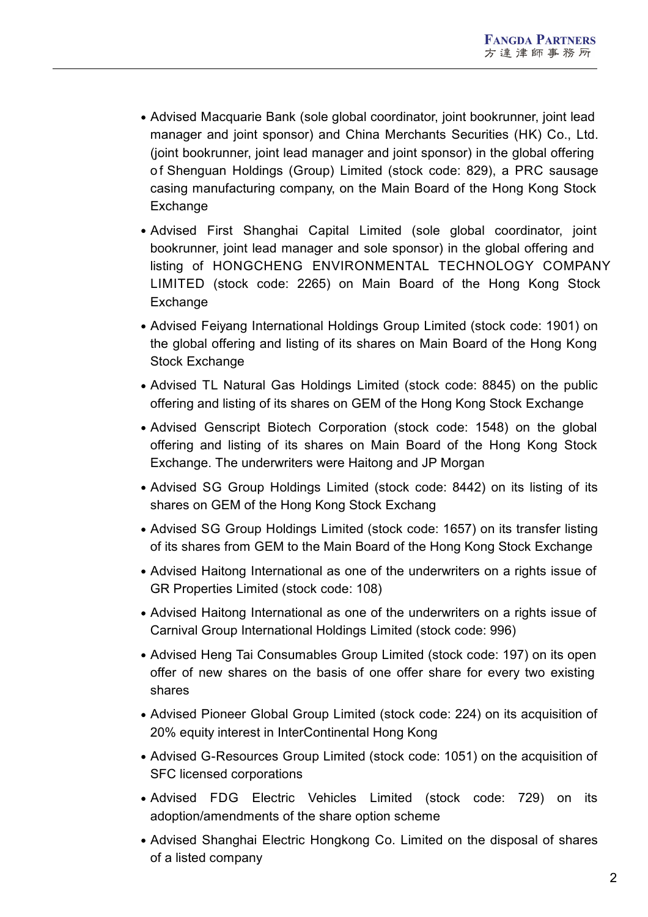- Advised Macquarie Bank (sole global coordinator, joint bookrunner, joint lead manager and joint sponsor) and China Merchants Securities (HK) Co., Ltd. (joint bookrunner, joint lead manager and joint sponsor) in the global offering o f Shenguan Holdings (Group) Limited (stock code: 829), a PRC sausage casing manufacturing company, on the Main Board of the Hong Kong Stock Exchange
- Advised First Shanghai Capital Limited (sole global coordinator, joint bookrunner, joint lead manager and sole sponsor) in the global offering and listing of HONGCHENG ENVIRONMENTAL TECHNOLOGY COMPANY LIMITED (stock code: 2265) on Main Board of the Hong Kong Stock **Exchange**
- Advised Feiyang International Holdings Group Limited (stock code: 1901) on the global offering and listing of its shares on Main Board of the Hong Kong Stock Exchange
- Advised TL Natural Gas Holdings Limited (stock code: 8845) on the public offering and listing of its shares on GEM of the Hong Kong Stock Exchange
- Advised Genscript Biotech Corporation (stock code: 1548) on the global offering and listing of its shares on Main Board of the Hong Kong Stock Exchange. The underwriters were Haitong and JP Morgan
- Advised SG Group Holdings Limited (stock code: 8442) on its listing of its shares on GEM of the Hong Kong Stock Exchang
- Advised SG Group Holdings Limited (stock code: 1657) on its transfer listing of its shares from GEM to the Main Board of the Hong Kong Stock Exchange
- Advised Haitong International as one of the underwriters on a rights issue of GR Properties Limited (stock code: 108)
- Advised Haitong International as one of the underwriters on a rights issue of Carnival Group International Holdings Limited (stock code: 996)
- Advised Heng Tai Consumables Group Limited (stock code: 197) on its open offer of new shares on the basis of one offer share for every two existing shares
- Advised Pioneer Global Group Limited (stock code: 224) on its acquisition of 20% equity interest in InterContinental Hong Kong
- Advised G-Resources Group Limited (stock code: 1051) on the acquisition of SFC licensed corporations
- Advised FDG Electric Vehicles Limited (stock code: 729) on its adoption/amendments of the share option scheme
- Advised Shanghai Electric Hongkong Co. Limited on the disposal of shares of a listed company